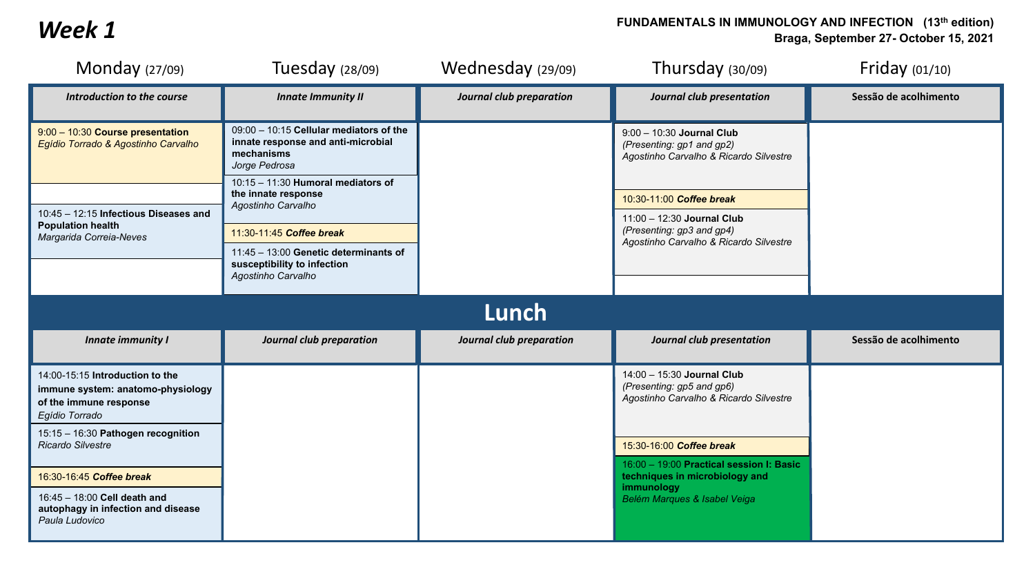## **Week 1 FUNDAMENTALS IN IMMUNOLOGY AND INFECTION** (13<sup>th</sup> edition)<br>**Reads** September 27- October 15, 2021 **Braga, September 27- October 15, 2021**

| Monday $(27/09)$                                                                                                 | Tuesday $(28/09)$                                                                                            | Wednesday (29/09)        | Thursday $(30/09)$                                                                                | Friday $(01/10)$      |  |  |  |
|------------------------------------------------------------------------------------------------------------------|--------------------------------------------------------------------------------------------------------------|--------------------------|---------------------------------------------------------------------------------------------------|-----------------------|--|--|--|
| Introduction to the course                                                                                       | <b>Innate Immunity II</b>                                                                                    | Journal club preparation | Journal club presentation                                                                         | Sessão de acolhimento |  |  |  |
| 9:00 - 10:30 Course presentation<br>Egídio Torrado & Agostinho Carvalho                                          | 09:00 - 10:15 Cellular mediators of the<br>innate response and anti-microbial<br>mechanisms<br>Jorge Pedrosa |                          | 9:00 - 10:30 Journal Club<br>(Presenting: gp1 and gp2)<br>Agostinho Carvalho & Ricardo Silvestre  |                       |  |  |  |
| 10:45 - 12:15 Infectious Diseases and<br><b>Population health</b>                                                | $10:15 - 11:30$ Humoral mediators of<br>the innate response<br>Agostinho Carvalho                            |                          | 10:30-11:00 Coffee break<br>11:00 - 12:30 Journal Club<br>(Presenting: gp3 and gp4)               |                       |  |  |  |
| Margarida Correia-Neves                                                                                          | 11:30-11:45 Coffee break<br>11:45 - 13:00 Genetic determinants of                                            |                          | Agostinho Carvalho & Ricardo Silvestre                                                            |                       |  |  |  |
|                                                                                                                  | susceptibility to infection<br>Agostinho Carvalho                                                            |                          |                                                                                                   |                       |  |  |  |
| Lunch                                                                                                            |                                                                                                              |                          |                                                                                                   |                       |  |  |  |
| <b>Innate immunity I</b>                                                                                         | Journal club preparation                                                                                     | Journal club preparation | Journal club presentation                                                                         | Sessão de acolhimento |  |  |  |
| 14:00-15:15 Introduction to the<br>immune system: anatomo-physiology<br>of the immune response<br>Egídio Torrado |                                                                                                              |                          | 14:00 - 15:30 Journal Club<br>(Presenting: gp5 and gp6)<br>Agostinho Carvalho & Ricardo Silvestre |                       |  |  |  |
| 15:15 - 16:30 Pathogen recognition<br>Ricardo Silvestre                                                          |                                                                                                              |                          | 15:30-16:00 Coffee break<br>16:00 - 19:00 Practical session I: Basic                              |                       |  |  |  |
| 16:30-16:45 Coffee break                                                                                         |                                                                                                              |                          | techniques in microbiology and<br>immunology                                                      |                       |  |  |  |
| 16:45 - 18:00 Cell death and<br>autophagy in infection and disease<br>Paula Ludovico                             |                                                                                                              |                          | Belém Marques & Isabel Veiga                                                                      |                       |  |  |  |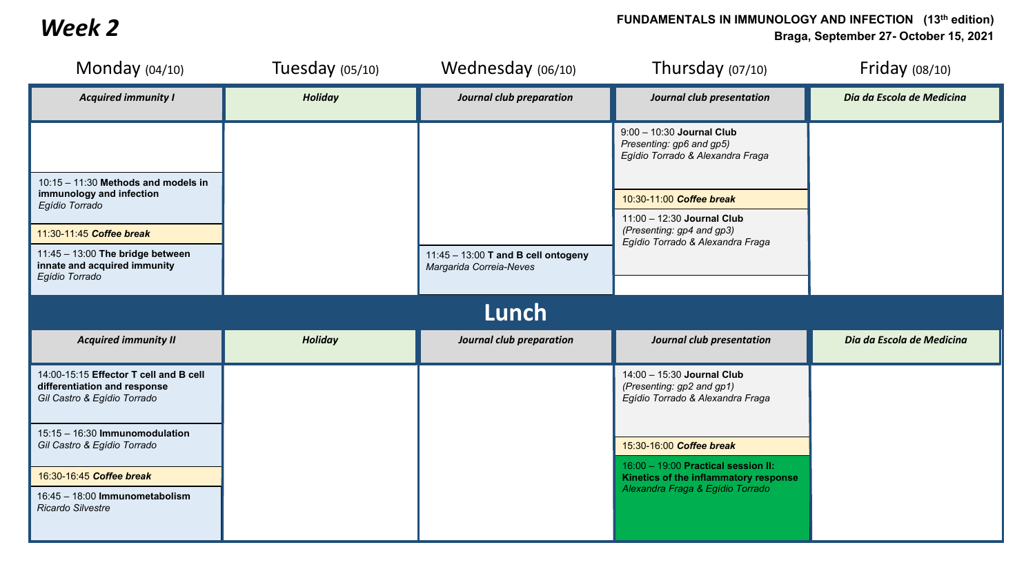## **FUNDAMENTALS IN IMMUNOLOGY AND INFECTION** (13<sup>th</sup> edition)<br>Braga, September 27- October 15, 2021 **Braga, September 27- October 15, 2021**

| Monday $(04/10)$                                                                                                                                                                                                                                                 | Tuesday $(05/10)$ | Wednesday (06/10)                                              | Thursday $(07/10)$                                                                                                                                                                                                                          | Friday $(08/10)$          |  |  |  |
|------------------------------------------------------------------------------------------------------------------------------------------------------------------------------------------------------------------------------------------------------------------|-------------------|----------------------------------------------------------------|---------------------------------------------------------------------------------------------------------------------------------------------------------------------------------------------------------------------------------------------|---------------------------|--|--|--|
| <b>Acquired immunity I</b>                                                                                                                                                                                                                                       | <b>Holiday</b>    | Journal club preparation                                       | Journal club presentation                                                                                                                                                                                                                   | Dia da Escola de Medicina |  |  |  |
| $10:15 - 11:30$ Methods and models in<br>immunology and infection<br>Egídio Torrado<br>11:30-11:45 Coffee break<br>11:45 - 13:00 The bridge between<br>innate and acquired immunity<br>Egídio Torrado                                                            |                   | 11:45 - 13:00 T and B cell ontogeny<br>Margarida Correia-Neves | 9:00 - 10:30 Journal Club<br>Presenting: gp6 and gp5)<br>Egídio Torrado & Alexandra Fraga<br>10:30-11:00 Coffee break<br>11:00 - 12:30 Journal Club<br>(Presenting: gp4 and gp3)<br>Egídio Torrado & Alexandra Fraga                        |                           |  |  |  |
| Lunch                                                                                                                                                                                                                                                            |                   |                                                                |                                                                                                                                                                                                                                             |                           |  |  |  |
| <b>Acquired immunity II</b>                                                                                                                                                                                                                                      | <b>Holiday</b>    | Journal club preparation                                       | Journal club presentation                                                                                                                                                                                                                   | Dia da Escola de Medicina |  |  |  |
| 14:00-15:15 Effector T cell and B cell<br>differentiation and response<br>Gil Castro & Egídio Torrado<br>15:15 - 16:30 Immunomodulation<br>Gil Castro & Egídio Torrado<br>16:30-16:45 Coffee break<br>16:45 - 18:00 Immunometabolism<br><b>Ricardo Silvestre</b> |                   |                                                                | 14:00 - 15:30 Journal Club<br>(Presenting: gp2 and gp1)<br>Egídio Torrado & Alexandra Fraga<br>15:30-16:00 Coffee break<br>16:00 - 19:00 Practical session II:<br>Kinetics of the inflammatory response<br>Alexandra Fraga & Egídio Torrado |                           |  |  |  |